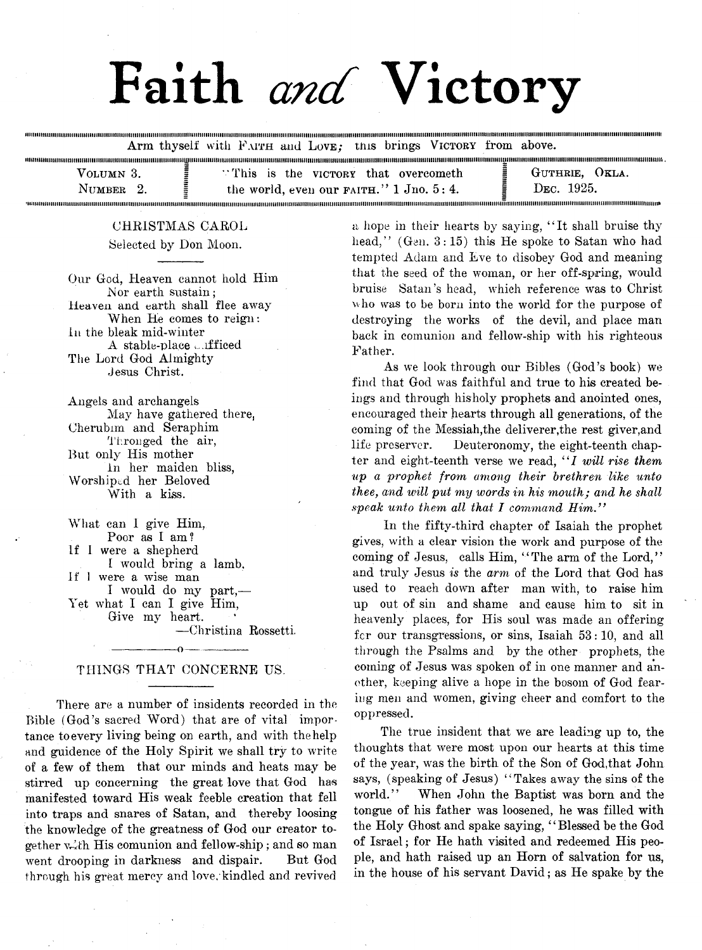# Faith *and* Victory

Arm thyself with FAITH and LOVE; this brings VICTORY from above.

| VOLUMN 3.     | "This is the victory that overcometh"       | $VKLA$ .<br>GUTHRIE.    |
|---------------|---------------------------------------------|-------------------------|
| <b>NUMBER</b> | the world, even our $FAITH.'' 1 Jno. 5: 4.$ | D <sub>EC</sub> . 1925. |
|               |                                             |                         |

i i i tti i i i i i i i ti i i i i i i ii i i i i i i i i i i ii i i n i i i i i i ii i i i i n i i i i ii i i i t i i i i i i i i i i t i i i t i i i i i i ii i i i i i i i t i i i i i t i i i t i i i i i i i t i i t i i i i i i i t t i i i i t i i i i i i i u ii t i i i ii i i i i i i i i i ii i i t i ii i i i i i i i i i ii i i i i i t i i i i i i t i t ii i i i i i i i i i ii i i i i i i i i i i ii i i i i i i i i i ii i i i t ii i t i ii t i i i ii i i i i i i i i i ii i i i i i i t i i i i i i i i ii i i i i i i i i i i it i i i ii i i i i i i t i i i i i i i i ii i i i i i n

#### CHRISTMAS CAROL

Selected by Don Moon.

Our God, Heaven cannot hold Him Nor earth sustain; Heaven and earth shall flee away When He comes to reign: in the bleak mid-winter A stable-place unfficed The Lord God Almighty Jesus Christ.

Angels and archangels May have gathered there, Cherubim and Seraphim Thronged the air, But only His mother In her maiden bliss, Worshiped her Beloved With a kiss.

What can I give Him, Poor as I am? If 1 were a shepherd I would bring a lamb. If I were a wise man I would do my part,— Yet what I can I give Him, Give my heart. — Christina Rossetti.

## ----------------- o---------------- THINGS THAT CONCERNE US.

There are a number of insidents recorded in the Bible (God's sacred Word) that are of vital importance to every living being on earth, and with the help and guidence of the Holy Spirit we shall try to write of a few of them that our minds and heats may be stirred up concerning the great love that God has manifested toward His weak feeble creation that fell into traps and snares of Satan, and thereby loosing the knowledge of the greatness of God our creator together vith His comunion and fellow-ship; and so man went drooping in darkness and dispair. But God through his great mercy and love, kindled and revived

a hope in their hearts by saying, "It shall bruise thy head," (Gen. 3:15) this He spoke to Satan who had tempted Adam and Eve to disobey God and meaning that the seed of the woman, or her off-spring, would bruise Satan's head, which reference was to Christ who was to be born into the world for the purpose of destroying the works of the devil, and place man back in comunion and fellow-ship with his righteous Father.

As we look through our Bibles (God's book) we find that God was faithful and true to his created beings and through his holy prophets and anointed ones, encouraged their hearts through all generations, of the coming of the Messiah,the deliverer,the rest giver,and life preserver. Deuteronomy, the eight-teenth chapter and eight-teenth verse we read, "I will rise them *up a prophet from among their brethren like unto thee*, *and will put my ivords in his mouth; and he shall speak unto them all that I command Him."*

In the fifty-third, chapter of Isaiah the prophet gives, with a clear vision the work and purpose of the coming of Jesus, calls Him, "The arm of the Lord," and truly Jesus *is* the *arm* of the Lord that God has used to reach down after man with, to raise him up out of sin and shame and cause him to sit in heavenly places, for His soul was made an offering fcr our transgressions, or sins, Isaiah 53:10, and all through the Psalms and by the other prophets, the coming of Jesus was spoken of in one manner and another, keeping alive a hope in the bosom of God fearing men and women, giving cheer and comfort to the oppressed.

The true insident that we are leading up to, the thoughts that were most upon our hearts at this time of the year, was the birth of the Son of God,that John says, (speaking of Jesus) "Takes away the sins of the world." When John the Baptist was born and the tongue of his father was loosened, he was filled with the Holy Ghost and spake saying, ' ' Blessed be the God of Israel; for He hath visited and redeemed His people, and hath raised up an Horn of salvation for us, in the house of his servant David; as He spake by the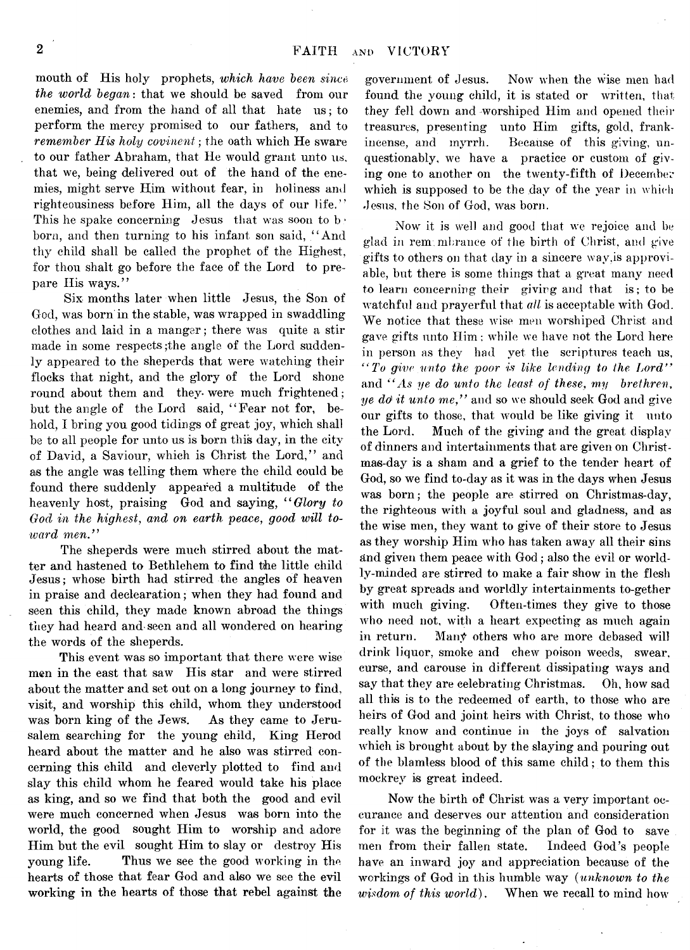month of His holy prophets, *which have been since the world began*: that we should be saved from our enemies, and from the hand of all that hate us; to perform the mercy promised to our fathers, and to *remember His holy covinent*; the oath which He sware to our father Abraham, that He would grant unto us, that we, being delivered out of the hand of the enemies, might serve Him without fear, in holiness ami righteousiness before Him, all the days of our life." This he spake concerning Jesus that was soon to b. born, and then turning to his infant son said, " And thy child shall be called the prophet of the Highest, for thou shalt go before the face of the Lord to prepare His ways."

Six months later when little Jesus, the Son of God, was born in the stable, was wrapped in swaddling clothes and laid in a manger; there was quite a stir made in some respects ;the angle of the Lord suddenly appeared to the sheperds that were watching their flocks that night, and the glory of the Lord shone round about them and they were much frightened; but the angle of the Lord said, " Fear not for, behold, I bring you good tidings of great joy, which shall be to all people for unto us is born this day, in the city of David, a Saviour, which is Christ the Lord," and as the angle was telling them where the child could be found there suddenly appeared a multitude of the heavenly host, praising God and saying, " *Glory to God in the highest, and on earth peace, good will toward men."*

The sheperds were much stirred about the matter and hastened to Bethlehem to find the little child Jesus; whose birth had stirred the angles of heaven in praise and declaration; when they had found and seen this child, they made known abroad the things they had heard and seen and all wondered on hearing the words of the sheperds.

This event was so important that there were wise men in the east that saw His star and were stirred about the matter and set out on a long journey to find, visit, and worship this child, whom they understood was born king of the Jews. As they came to Jerusalem searching for the young child, King Herod heard about the matter and he also was stirred concerning this child and cleverly plotted to find and slay this child whom he feared would take his place as king, and so we find that both the good and evil were much concerned when Jesus was born into the world, the good sought Him to worship and adore Him but the evil sought Him to slay or destroy His young life. Thus we see the good working in the hearts of those that fear God and also we see the evil working in the hearts of those that rebel against the

government of Jesus. Now when the wise men bad found the young child, it is stated or written, that they fell down and worshiped Him and opened their treasures, presenting unto Him gifts, gold, frankincense, and myrrh. Because of this giving, unquestionably, we have a practice or custom of giving one to another on the twenty-fifth of December which is supposed to be the day of the year in which Jesus, the Son of God, was born.

Now it is well and good that we rejoice and be glad in remembrance of the birth of Christ, and give gifts to others on that day in a sincere wav,is approviable, but there is some things that a great many need to learn concerning their giving and that is; to be watchful and prayerful that *all* is acceptable with God. We notice that these wise men worshiped Christ and gave gifts unto Him; while we have not the Lord here in person as they had vet the scriptures teach us, *" To give unto the poor is like lending to the Lord"* and *" As ye do unto the least of these, my brethren*, *ye do] it unto me,"* and so we should seek God and give our gifts to those, that would be like giving it unto the Lord. Much of the giving and the great display of dinners and intertainments that are given on Christmas-day is a sham and a grief to the tender heart of God, so we find to-day as it was in the days when Jesus was born; the people are stirred on Christmas-day, the righteous with a joyful soul and gladness, and as the wise men, they want to give of their store to Jesus as they worship Him who has taken away all their sins and given them peace with God; also the evil or worldly-minded are stirred to make a fair show in the flesh by great spreads and worldly intertainments to-gether with much giving. Often-times they give to those who need not, with a heart expecting as much again in return. Many others who are more debased will drink liquor, smoke and chew poison weeds, swear, curse, and carouse in different dissipating ways and say that they are celebrating Christmas. Oh, how sad all this is to the redeemed of earth, to those who are heirs of God and joint heirs with Christ, to those who really know and continue in the joys of salvation which is brought about by the slaying and pouring out of the blamless blood of this same child; to them this moekrev is great indeed.

Now the birth of Christ was a very important oecurance and deserves our attention and consideration for it was the beginning of the plan of God to save men from their fallen state. Indeed God's people have an inward joy and appreciation because of the workings of God in this humble way *{unknown to the wisdom of this world)*. When we recall to mind how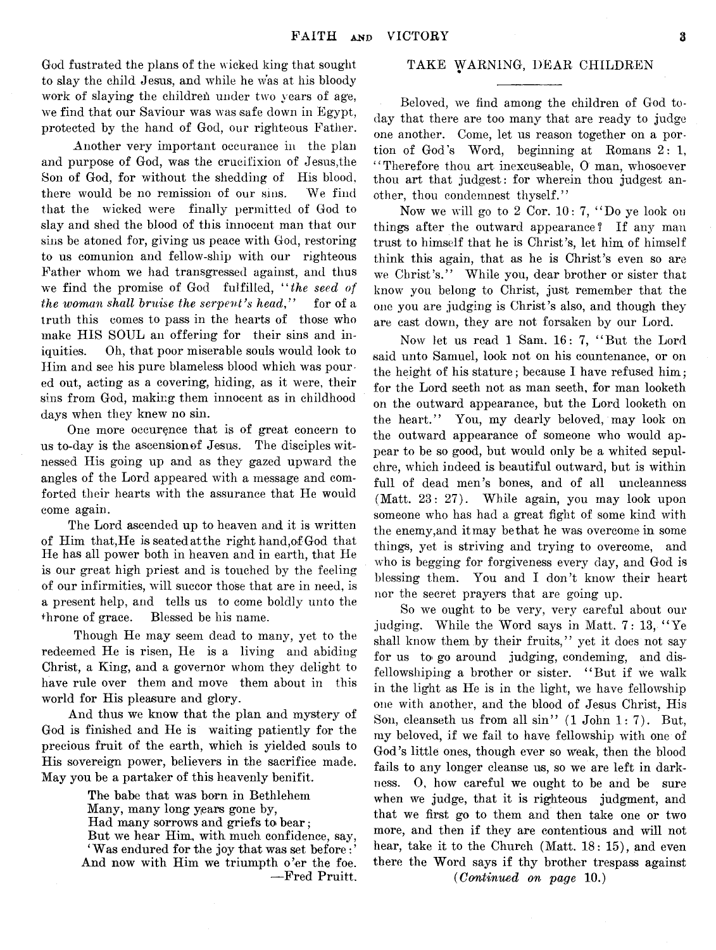God fustrated the plans of the wicked king that sought to slay the child Jesus, and while he was at his bloody work of slaying the childreh under two years of age, we find that our Saviour was was safe down in Egypt, protected by the hand of God, our righteous Father.

Another very important occurance in the plan and purpose of God, was the crucifixion of Jesus,the Son of God, for without the shedding of His blood, there would be no remission of our sins. We find that the wicked were finally permitted of God to slay and shed the blood of this innocent man that our sins be atoned for, giving us peace with God, restoring to us comunion and fellow-ship with our righteous Father whom we had transgressed against, and thus we find the promise of God fulfilled, *" the seed of the woman shall bruise the serpent's head*," for of a truth this comes to pass in the hearts of those who make HIS SOUL an offering for their sins and iniquities. Oh, that poor miserable souls would look to Him and see his pure blameless blood which was poured out, acting as a covering, hiding, as it were, their sins from God, making them innocent as in childhood days when they knew no sin.

One more occurence that is of great concern to us to-day is the ascension of Jesus. The disciples witnessed His going up and as they gazed upward the angles of the Lord appeared with a message and comforted their hearts with the assurance that He would come again.

The Lord ascended up to heaven and it is written of Him that, He is seated at the right hand, of God that He has all power both in heaven and in earth, that He is our great high priest and is touched by the feeling of our infirmities, will succor those that are in need, is a present help, and tells us to come boldly unto the throne of grace. Blessed be his name.

Though He may seem dead to many, yet to the redeemed He is risen, He is a living and abiding Christ, a King, and a governor whom they delight to have rule over them and move them about in this world for His pleasure and glory.

And thus we know that the plan and mystery of God is finished and He is waiting patiently for the precious fruit of the earth, which is yielded souls to His sovereign power, believers in the sacrifice made. May you be a partaker of this heavenly benifit.

> The babe that was born in Bethlehem Many, many long years gone by, Had many sorrows and griefs to bear; But we hear Him, with much confidence, say, 'Was endured for the joy that was set before: '

> And now with Him we triumpth o'er the foe. — Fred Pruitt.

#### TAKE WARNING, DEAR CHILDREN

Beloved, we find among the children of God today that there are too many that are ready to judge one another. Come, let us reason together on a portion of God's Word, beginning at Romans 2: 1, "Therefore thou art inexcuseable, 0 man, whosoever thou art that judgest: for wherein thou judgest another, thou condemnest thyself."

Now we will go to 2 Cor.  $10: 7,$  "Do ye look on things after the outward appearance? If any man trust to himself that he is Christ's, let him of himself think this again, that as he is Christ's even so are we Christ's." While you, dear brother or sister that know you belong to Christ, just remember that the one you are judging is Christ's also, and though they are cast down, they are not forsaken by our Lord.

Now let us read  $1$  Sam.  $16: 7$ , "But the Lord said unto Samuel, look not on his countenance, or on the height of his stature; because I have refused him; for the Lord seeth not as man seeth, for man looketh on the outward appearance, but the Lord looketh on the heart." You, my dearly beloved, may look on the outward appearance of someone who would appear to be so good, but would only be a whited sepulchre, which indeed is beautiful outward, but is within full of dead men's bones, and of all uncleanness (Matt. 23: 27). While again, you may look upon someone who has had a great fight of some kind with the enemy,and it may be that he was overcome in some things, yet is striving and trying to overcome, and who is begging for forgiveness every day, and God is blessing them. You and I don't know their heart nor the secret prayers that are going up.

So we ought to be very, very careful about our judging. While the Word says in Matt.  $7:13$ , "Ye shall know them by their fruits," yet it does not say for us to go around judging, condeming, and disfellowshiping a brother or sister. "But if we walk in the light as He is in the light, we have fellowship one with another, arid the blood of Jesus Christ, His Son, cleanseth us from all sin"  $(1$  John 1:7). But, my beloved, if we fail to have fellowship with one of God's little ones, though ever so weak, then the blood fails to any longer cleanse us, so we are left in darkness. 0, how careful we ought to be and be sure when we judge, that it is righteous judgment, and that we first go to them and then take one or two more, and then if they are contentious and will not hear, take it to the Church (Matt. 18: 15), and even there the Word says if thy brother trespass against

*(Continued on page* 10.)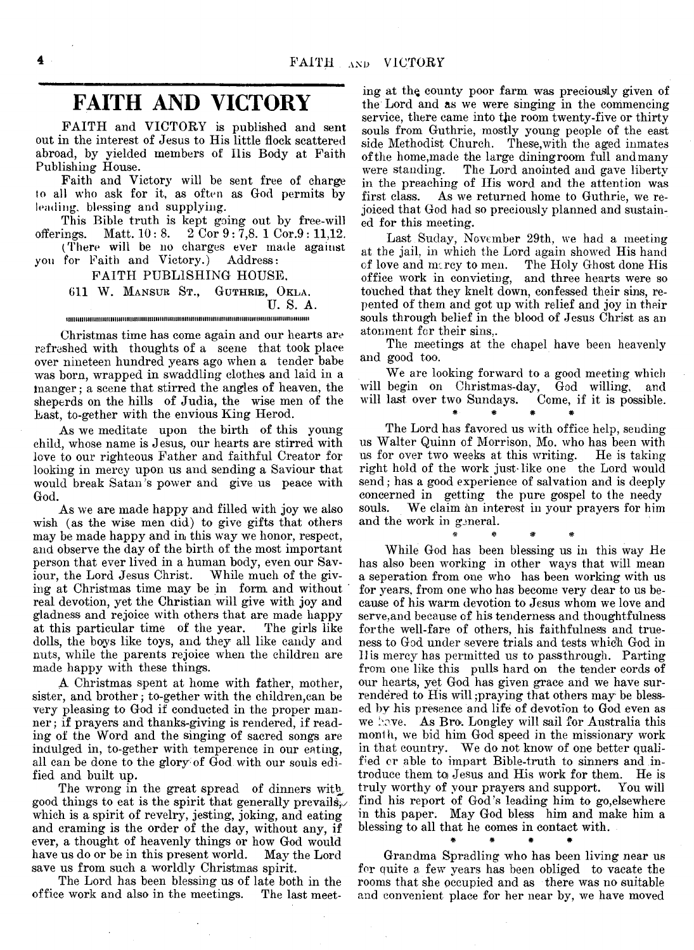## **FAITH AND VICTORY**

FAITH and VICTORY is published and sent out in the interest of Jesus to His little flock scattered abroad, by yielded members of Ilis Body at Faith Publishing House.

Faith and Victory will be sent free of charge to all who ask for it, as often as God permits by leading, blessing and supplying.

This Bible truth is kept going out by free-will offerings. Matt.  $10:8. \quad 2\overline{Cor}9:7,8.1 \overline{Cor}.9:11,12.$ 

(There will be no charges ever made against yon for Faith and Victory.) Address:

FAITH PUBLISHING HOUSE,

611 W. Mansur St., Guthrie, Okla. U. S. A. tiiiiiiiiiiiiiiiiiiiiiiiiim iiiiim im m iiiiim m m iim m im m im im im im iiiiiiiiiiiiiim iim im iiiiiiiiii

Christmas time has come again and our hearts are refreshed with thoughts of a scene that took place over nineteen hundred years ago when a tender babe was born, wrapped in swaddling clothes and laid in a pianger; a scene that stirred the angles of heaven, the sheperds on the hills of Judia, the wise men of the Last, to-gether with the envious King Herod.

As we meditate upon the birth of this young child, whose name is Jesus, our hearts are stirred with love to our righteous Father and faithful Creator for looking in mercy upon us and sending a Saviour that would break Satan's power and give us peace with God.

As we are made happy and filled with joy we also wish (as the wise men did) to give gifts that others may be made happy and in this way we honor, respect, and observe the day of the birth of the most important person that ever lived in a human body, even our Saviour, the Lord Jesus Christ. While much of the giving at Christmas time may be in form and without ' real devotion, yet the Christian will give with joy and gladness and rejoice with others that are made happy at this particular time of the year. dolls, the boys like toys, and they all like candy and nuts, while the parents rejoice when the children are made happy with these things.

A Christmas spent at home with father, mother, sister, and brother; to-gether with the children,can be very pleasing to God if conducted in the proper manner; if prayers and thanks-giving is rendered, if reading of the Word and the singing of sacred songs are indulged in, to-gether with temperence in our eating, all can be done to the glory of God with our souls edified and built up.

The wrong in the great spread of dinners with, good things to eat is the spirit that generally prevails. which is a spirit of revelry, jesting, joking, and eating and craming is the order of the day, without any, if ever, a thought of heavenly things or how God would have us do or be in this present world. May the Lord save us from such a worldly Christmas spirit.

The Lord has been blessing us of late both in the office work and also in the meetings. The last meeting at thq county poor farm was preciously given of the Lord and as we were singing in the commencing service, there came into the room twenty-five or thirty souls from Guthrie, mostly young people of the east side Methodist Church. These,with the aged inmates of the home,made the large diningroom full and many were standing. The Lord anointed and gave liberty in the preaching of His word and the attention was first class. As we returned home to Guthrie, we rejoiced that God had so preciously planned and sustained for this meeting.

Last Suday, November 29th, we had a meeting at the jail, in which the Lord again showed His hand of love and  $m_f$  rey to men. The Holy Ghost done His of love and mercy to men. office work in convicting, and three hearts were so touched that they knelt down, confessed their sins, repented of them and got up with relief and joy in their souls through belief in the blood of Jesus Christ as an atonment for their sins,.

The meetings at the chapel have been heavenly and good too.

We are looking forward to a good meeting which will begin on Christmas-day, God willing, and will last over two Sundays. Come, if it is possible. #• # # \*

The Lord has favored us with office help, sending us Walter Quinn of Morrison, Mo. who has been with us for over two weeks at this writing. He is taking right hold of the work just-like one the Lord would send; has a good experience of salvation and is deeply concerned in getting the pure gospel to the needy souls. We claim an interest in your prayers for him We claim an interest in your prayers for him and the work in general. \* # # #

While God has been blessing us in this way He has also been working in other ways that will mean a seperation. from one who has been working with us for years, from one who has become very dear to us because of his warm devotion to Jesus whom we love and serve,and because of his tenderness and thoughtfulness for the well-fare of others, his faithfulness and trueness to God under severe trials and tests which God in II is mercy has permitted us to passthrough. Parting from one like this pulls hard on the tender cords of our hearts, yet God has given grace and we have surrendered to His will praying that others may be blessed by his presence and life of devotion to God even as we have. As Bro. Longley will sail for Australia this month, we bid him God speed in the missionary work in that country. We do not know of one better qualified or able to impart Bible-truth to sinners and introduce them to Jesus and His work for them. He is<br>truly worthy of your prayers and support. You will truly worthy of your prayers and support. find his report of God's leading him to go,elsewhere in this paper. May God bless him and make him a blessing to all that he comes in contact with.

Grandma Spradling who has been living near us for quite a few years has been obliged to vacate the rooms that she occupied and as there was no suitable and convenient place for her near by, we have moved

*\** # # #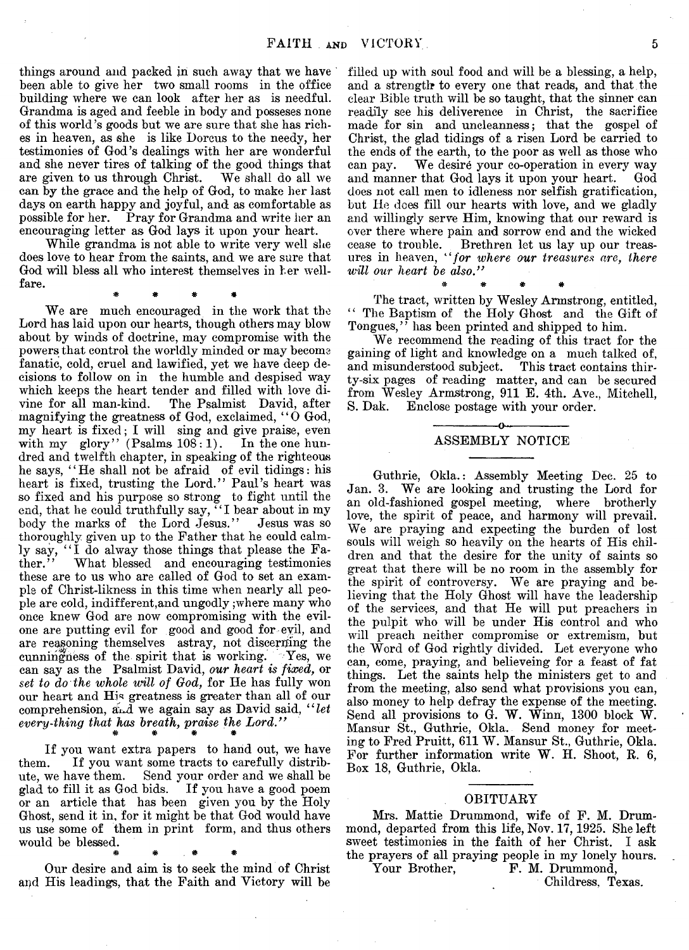things around and packed in such away that we have been able to give her two small rooms in the office building where we can look after her as is needful. Grandma is aged and feeble in body and posseses none of this world's goods but we are sure that she has riches in heaven, as she is like Dorcus to the needy, her testimonies of God's dealings with her are wonderful and she never tires of talking of the good things that are given to us through Christ. We shall do all we are given to us through Christ. can by the grace and the help of God, to make her last days on earth happy and joyful, and as comfortable as possible for her. Pray for Grandma and write her an encouraging letter as God lays it upon your heart.

While grandma is not able to write very well she does love to hear from the saints, and we are sure that God will bless all who interest themselves in her wellfare.

\* \* *\** \*

We are much encouraged in the work that the Lord has laid upon our hearts, though others may blow about by winds of doctrine, may compromise with the powers that control the worldly minded or may become fanatic, cold, cruel and lawified, yet we have deep decisions to follow on in the humble and despised way which keeps the heart tender and filled with love divine for all man-kind. The Psalmist David, after magnifying the greatness of God, exclaimed,  $"0$  God, my heart is fixed; I will sing and give praise, even with my glory" (Psalms 108:1). In the one hundred and twelfth chapter, in speaking of the righteous he says, "He shall not be afraid of evil tidings: his heart is fixed, trusting the Lord." Paul's heart was so fixed and his purpose so strong to fight until the end, that he could truthfully say, "I bear about in my body the marks of the Lord Jesus." Jesus was so thoroughly given up to the Father that he could calmly say, "I do alway those things that please the Fa-<br>ther." What blessed and encouraging testimonies ther." What blessed and encouraging testimonies these are to us who are called of God to set an example of Christ-likness in this time when nearly all people are cold, indifferent,and ungodly ;where many who once knew God are now compromising with the evilone are putting evil for good and good for evil, and are reasoning themselves astray, not discerning the cunningness of the spirit that is working. Yes, we can say as the Psalmist David, *our heart is fixed,* or *set to do the whole whll of God,* for He has fully won our heart and His greatness is greater than all of our comprehension, and we again say as David said, "let every-thing that has breath, praise the Lord.'<br> **\* \* \*** 

If you want extra papers to hand out, we have them. If you want some tracts to carefully distribute, we have them. Send your order and we shall be glad to fill it as God bids. If you have a good poem or an article that has been given you by the Holy Ghost, send it in, for it might be that God would have us use some of them in print form, and thus others would be blessed.

\* \* \* \* \*

Our desire and aim is to seek the mind of Christ apd His leadings, that the Faith and Victory will be

filled up with soul food and will be a blessing, a help, and a strength to every one that reads, and that the clear Bible truth will be so taught, that the sinner can readily see his deliverence in Christ, the sacrifice made for sin and uncleanness; that the gospel of Christ, the glad tidings of a risen Lord be carried to the ends of the earth, to the poor as well as those who can pay. We desire your co-operation in every way and manner that God lays it upon your heart. God does not call men to idleness nor selfish gratification, but He does fill our hearts with love, and we gladly and willingly serve Him, knowing that our reward is over there where pain and sorrow end and the wicked cease to trouble. Brethren let us lay up our treasures in heaven, *" for ivhere our treasures are, there* will our heart be also."

The tract, written by Wesley Armstrong, entitled, ' ' The Baptism of the Holy Ghost and the Gift of Tongues," has been printed and shipped to him.

\* \* • « .

We recommend the reading of this tract for the gaining of light and knowledge on a much talked of, and misunderstood subject. This tract contains thirty-six pages of reading matter, and can be secured from Wesley Armstrong, 911 B. 4th. Ave., Mitchell, S. Dak. Enclose postage with your order.

#### -----------------o----------------- ASSEMBLY NOTICE

Guthrie, Okla.: Assembly Meeting Dee. 25 to Jan. 3. We are looking and trusting the Lord for an old-fashioned gospel meeting, where brotherly love, the spirit of peace, and harmony will prevail. We are praying and expecting the burden of lost souls will weigh so heavily on the hearts of His children and that the desire for the unity of saints so great that there will be no room in the assembly for the spirit of controversy. We are praying and believing that the Holy Ghost will have the leadership of the services, and that He will put preachers in the pulpit who will be under His control and who will preach neither compromise or extremism, but the Word of God rightly divided. Let everyone who can, come, praying, and believeing for a feast of fat things. Let the saints help the ministers get to and from the meeting, also send what provisions you can, also money to help defray the expense of the meeting. Send all provisions to G. W. Winn, 1300 block W. Mansur St., Guthrie, Okla. Send money for meeting to Fred Pruitt, 611 W. Mansur St., Guthrie, Okla. For further information write W. H. Shoot, R. 6, Box 18, Guthrie, Okla.

#### OBITUARY

Mrs. Mattie Drummond, wife of F. M. Drummond, departed from this life, Nov. 17,1925. She left sweet testimonies in the faith of her Christ. I ask the prayers of all praying people in my lonely hours.<br>Your Brother, F. M. Drummond,

Childress, Texas.

F. M. Drummond,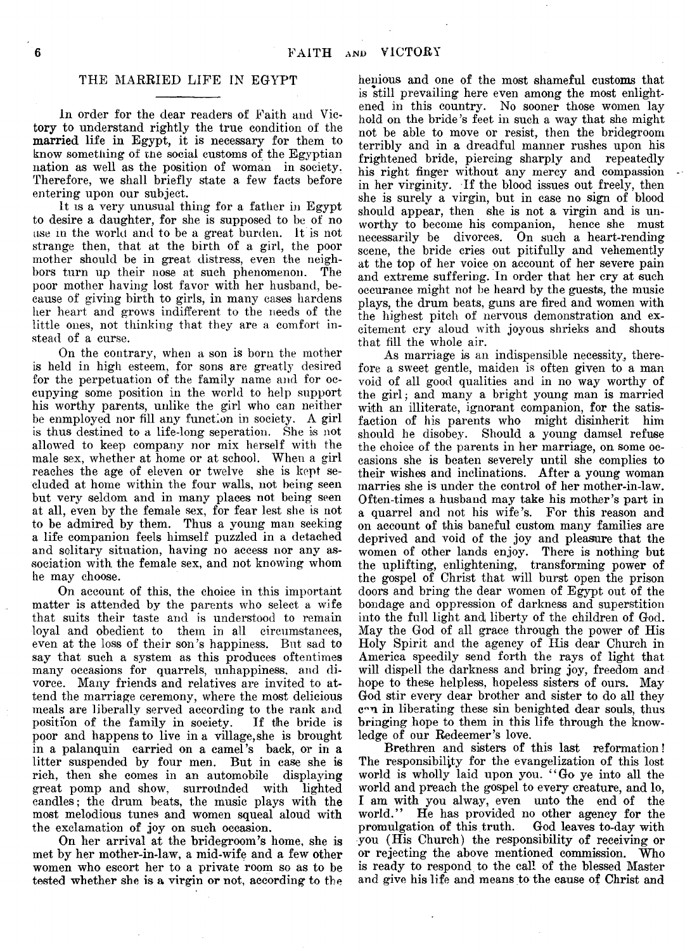#### THE MARRIED LIFE IN EGYPT

In order for the dear readers of Faith and Victory to understand rightly the true condition of the married life in Egypt, it is necessary for them to know something of the social customs of the Egyptian nation as well as the position of woman in society. Therefore, we shall briefly state a few facts before entering upon our subject.

It is a very unusual thing for a father in Egypt to desire a daughter, for she is supposed to be of no use m the world and to be a great burden. It is not strange then, that at the birth of a girl, the poor mother should be in great distress, even the neighbors turn up their nose at such phenomenon. The poor mother having lost favor with her husband, because of giving birth to girls, in many cases hardens her heart and grows indifferent to the needs of the little ones, not thinking that they are a comfort instead of a curse.

On the contrary, when a son is born the mother is held in high esteem, for sons are greatly desired for the perpetuation of the family name and for occupying some position in the world to help support his worthy parents, unlike the girl who can neither be enmployed nor fill any function in society. A girl is thus destined to a life-long seperation. She is not allowed to keep company nor mix herself with the male sex, whether at home or at school. When a girl reaches the age of eleven or twelve she is kept secluded at home within the four walls, not being seen but very seldom and in many places not being seen at all, even by the female sex, for fear lest she is not to be admired by them. Thus a young man seeking a life companion feels himself puzzled in a detached and solitary situation, having no access nor any association with the female sex, and not knowing whom he may choose.

On account of this, the choice in this important matter is attended by the parents who select a wife that suits their taste and is understood to remain loyal and obedient to them in all circumstances, even at the loss of their son's happiness. But sad to say that such a system as this produces oftentimes many occasions for quarrels, unhappiness, and divorce. Many friends and relatives are invited to attend the marriage ceremony, where the most delicious meals are liberally served according to the rank and position of the family in society. If the bride is position of the family in society. poor and happens to live in a village, she is brought in a palanquin carried on a camel's back, or in a litter suspended by four men. But in case she is rich, then she comes in an automobile displaying great pomp and show, surrounded with lighted candles; the drum beats, the music plays with the most melodious tunes and women squeal aloud with the exclamation of joy on such occasion.

On her arrival at the bridegroom's home, she is met by her mother-in-law, a mid-wife and a few other women who escort her to a private room so as to be tested whether she is a virgin or not, according to the

henious and one of the most shameful customs that is still prevailing here even among the most enlightened in this country. No sooner those women lay hold on the bride's feet in such a way that she might not be able to move or resist, then the bridegroom terribly and in a dreadful manner rushes upon his frightened bride, piercing sharply and repeatedly his right finger without any mercy and compassion in her virginity. If the blood issues out freely, then she is surely a virgin, but in case no sign of blood should appear, then she is not a virgin and is unworthy to become his companion, hence she must necessarily be divorces. On such a heart-rending scene, the bride cries out pitifully and vehemently at the top of her voice on account of her severe pain and extreme suffering. In order that her cry at such occurance might not be heard by the guests, the music plays, the drum beats, guns are fired and women with the highest pitch of nervous demonstration and excitement cry aloud with joyous shrieks and shouts that fill the whole air.

As marriage is an indispensible necessity, therefore a sweet gentle, maiden is often given to a man void of all good qualities and in no way worthy of the girl; and many a bright young man is married with an illiterate, ignorant companion, for the satisfaction of his parents who might disinherit him should he disobey. Should a young damsel refuse the choice of the parents in her marriage, on some occasions she is beaten severely until she complies to their wishes and inclinations. After a young woman marries she is under the control of her mother-in-law. Often-times a husband may take his mother's part in a quarrel and not his wife's. For this reason and on account of this baneful custom many families are deprived and void of the joy and pleasure that the women of other lands enjoy. There is nothing but the uplifting, enlightening, transforming power of the gospel of Christ that will burst open the prison doors and bring the dear women of Egypt out of the bondage and oppression of darkness and superstition into the full light and liberty of the children of God. May the God of all grace through the power of His Holy Spirit and the agency of Ilis dear Church in America speedily send forth the rays of light that will dispell the darkness and bring joy, freedom and hope to these helpless, hopeless sisters of ours. May God stir every dear brother and sister to do all they c°n in liberating these sin benighted dear souls, thus bringing hope to them in this life through the knowledge of our Redeemer's love.

Brethren and sisters of this last reformation! The responsibility for the evangelization of this lost world is wholly laid upon you. "Go ye into all the world and preach the gospel to every creature, and lo, I am with you alway, even unto the end of the world." He has provided no other agency for the He has provided no other agency for the<br>tion of this truth. God leaves to-day with promulgation of this truth. you (His Church) the responsibility of receiving or or rejecting the above mentioned commission. Who is ready to respond to the call of the blessed Master and give his life and means to the cause of Christ and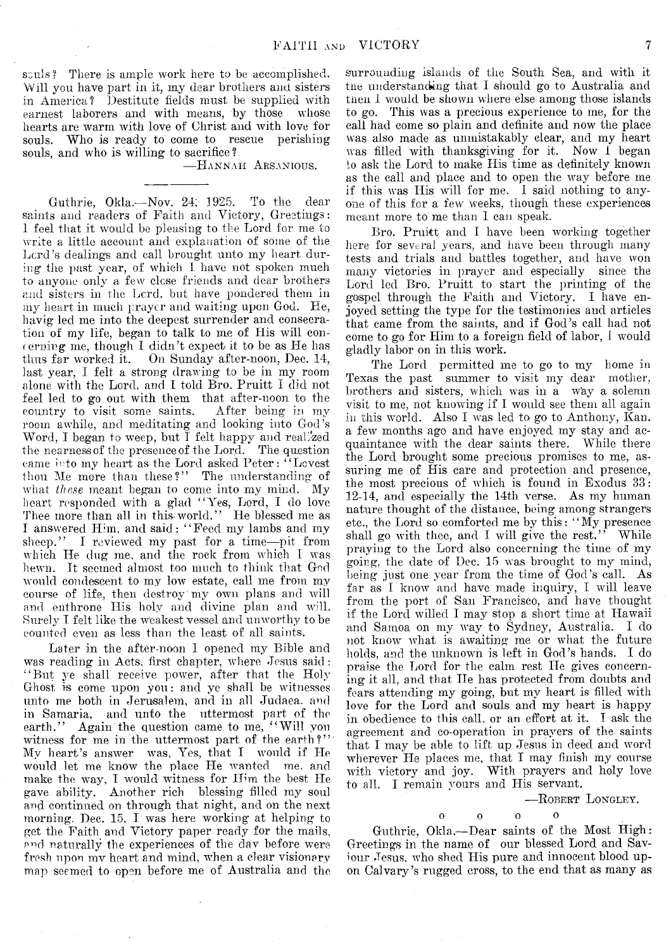sculs? There is ample work here to be accomplished. Will you have part in it, my dear brothers and sisters in America? Destitute fields must be supplied with earnest laborers and with means, by those whose hearts are warm with love of Christ and with love for souls. Who is ready to come to rescue perishing souls, and who is willing to sacrifice?

— Hannah A rsanious.

Guthrie, Okla.— Nov. 24; 1925. To the dear saints and readers of Faith and Victory, Greetings: 1 feel that it would be pleasing to the Lord for me to write a little account and explanation of some of the Lord's dealings and call brought unto my heart during the past year, of which I have not spoken much to anyone only a few close friends and dear brothers and sisters in the Lord, but have pondered them in my heart in much prayer and waiting upon God. He, havig led me into the deepest surrender and consecration of my life, began to talk to me of His will concerning me, though I didn't expect it to be as He has thus far worked it. On Sunday after-noon, Dec. 14, last year, I felt a strong drawing to be in my room alone with the Lord, and I told Bro. Pruitt I did not feel led to go out with them that after-noon to the country to visit some saints. After being in my room awhile, and meditating and looking into God's Word, I began to weep, but I felt happy and realized the nearness of the presence of the Lord. The question came into my heart as the Lord asked Peter: " Lcvest thou Me more than these?" The understanding of what *these* meant began to come into my mind. My heart responded with a glad " Yes, Lord, I do love Thee more than all in this-world." He blessed me as I answered Him. and said: "Feed my lambs and my sheep." I reviewed my past for a time--pit from I reviewed my past for a time--pit from which He dug me, and the rock from which I was hewn. It seemed almost too much to think that God would condescent to my low estate, call me from my course of life, then destroy my own plans and will and enthrone His holy and divine plan and will. Surely I felt like the weakest vessel and unworthy to be counted even as less than the least of all saints.

Later in the after-noon I opened my Bible and was reading in Acts, first chapter, where Jesus said: " But ye shall receive power, after that the Holy Ghost is come upon you : and ye shall be witnesses unto me both in Jerusalem, and in all Judaea, and in Samaria, and unto the uttermost part of the earth." Again the question came to me, "Will you witness for me in the uttermost part of the earth?" My heart's answer was, Yes, that I would if He would let me know the place He wanted me, and make the way, I would witness for Him the best He gave ability. Another rich blessing filled my soul and continued on through that night, and on the next morning. Dee. 15, I was here working at helping to get the Faith and Victory paper ready for the mails, and naturally the experiences of the day before were fresh upon mv heart and mind, when a clear visionary map seemed to open before me of Australia and the

surrounding islands of the South Sea, and with it the understanding that I should go to Australia and then I would be shown where else among those islands to go. This was a precious experience to me, for the call had come so plain and definite and now the place was also made as unmistakably clear, and my heart was filled with thanksgiving for it. Now I began *io* ask the Lord to make His time as definitely known as the call and place and to open the way before me if this was His will for me. I said nothing to anyone of this for a few weeks, though these experiences meant more to me than I can speak.

Bro. Pruitt and I have been working together here for several years, and have been through many tests and trials and battles together, and have won many victories in prayer and especially since the Lord led Bro. Pruitt to start the printing of the gospel through the Faith and Victory. I have enjoyed setting the type for the testimonies and articles that came from the saints, and if God's call had not come to go for Him to a foreign field of labor, I would gladly labor on in this work.

The Lord permitted me to go to my home in Texas the past summer to visit my dear mother, brothers and sisters, which was in a way a solemn visit to me, not knowing if I would see them all again in this world. Also I was led to go to Anthony, Kan. a few months ago and have enjoyed my stay and acquaintance with the dear saints there. While there the Lord brought some precious promises to me, assuring me of His care and protection and presence, the most precious of which is found in Exodus 33: 12-14, and especially the 14th verse. As my human nature thought of the distance, being among strangers etc., the Lord so comforted me by this: " My presence shall go with thee, and I will give the rest." While praying to the Lord also concerning the time of my going, the date of Dec. 15 was brought to my mind, being just one year from the time of God's call. As far as I know and have made inquiry, I will leave from the port of San Francisco, and have thought if the Lord willed I may stop a short time at Hawaii and Samoa on my way to Sydney, Australia. I do not know what is awaiting me or what the future holds, and the unknown is left in God's hands. I do praise the Lord for the calm rest He gives concerning it all, and that He has protected from doubts and fears attending my going, but my heart is filled with love for the Lord and souls and my heart is happy in obedience to this call, or an effort at it. I ask the agreement and co-operation in prayers of the saints that I may be able to lift up Jesus in deed and word wherever He places me, that I may finish my course with victory and joy. With prayers and holy love to all. I remain yours and His servant.

— Robert Longley.

 $\begin{array}{ccc} 0 & 0 & 0 \end{array}$  $\Omega$ Guthrie, Okla.— Dear saints of the Most High: Greetings in the name of our blessed Lord and Saviour Jesus, who shed His pure and innocent blood up-

on Calvary's rugged cross, to the end that as many as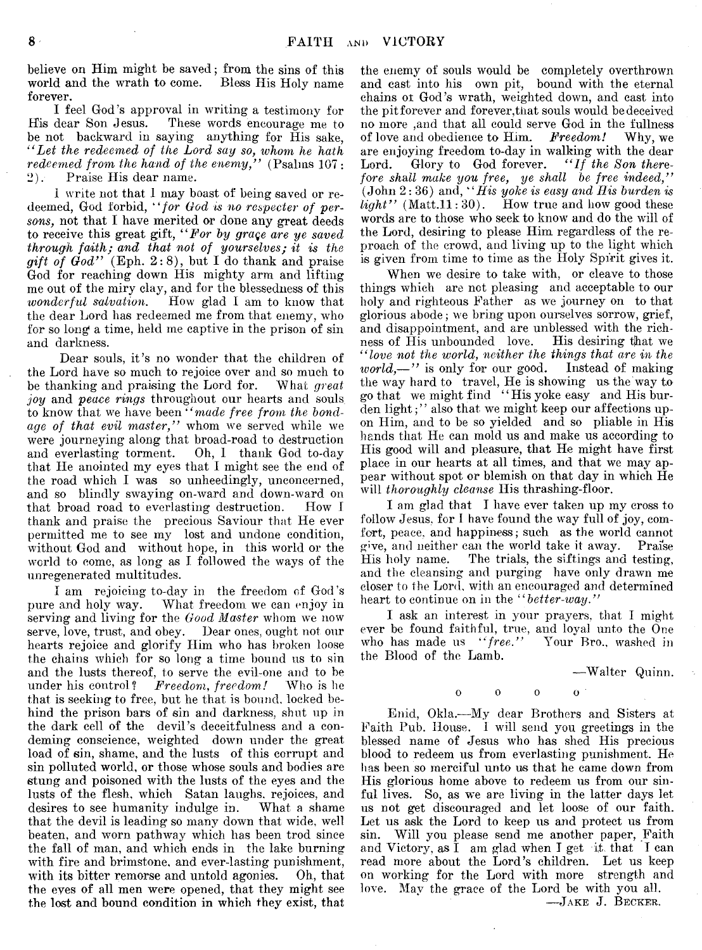believe on Him might be saved; from the sins of this world and the wrath to come. Bless His Holy name forever.

I feel God's approval in writing a testimony for<br>His dear Son Jesus. These words encourage me to These words encourage me to be not backward in saying anything for His sake, *" Let the redeemed of the Lord say so, whom he hath redeemed from the hand of the enemy,*" (Psalms 107:<br>2). Praise His dear name. 2). Praise His dear name.

1 write not that I may boast of being saved or redeemed, God forbid, *" for God is no respecter of persons,* not that I have merited or done any great deeds to receive this great gift, 4*'For by grage are ye saved through faith; and that not of yourselves; it is the*  $g$ *ift of God*" (Eph. 2:8), but I do thank and praise God for reaching down His mighty arm and lifting me out of the miry clay, and for the blessedness of this *wonderful salvation*. How glad I am to know that *How glad I am to know that* the dear Lord has redeemed me from that enemy, who for so long a time, held me captive in the prison of sin and darkness.

Dear souls, it's no wonder that the children of the Lord have so much to rejoice over and so much to be thanking and praising the Lord for. What great be thanking and praising the Lord for. *joy* and *peace rings* throughout our hearts and souls to know that we have been *" made free from the bondage of that evil master,"* whom we served while we were journeying along that broad-road to destruction<br>and everlasting torment. Oh, I thank God to-day Oh, I thank God to-day that He anointed my eyes that I might see the end of the road which I was so unheedingly, unconcerned, and so blindly swaying on-ward and down-ward on that broad road to everlasting destruction. How I thank and praise the precious Saviour that He ever permitted me to see my lost and undone condition, without God and without hope, in this world or the world to come, as long as I followed the ways of the unregenerated multitudes.

I am rejoicing to-day in the freedom of God's pure and holy way. What freedom we can enjoy in serving and living for the *Good Master* whom we now serve, love, trust, and obey. Dear ones, ought not our hearts rejoice and glorify Him who has broken loose the chains which for so long a time bound us to sin and the lusts thereof, to serve the evil-one and to be under his control? Freedom, freedom! Who is he *Freedom, freedom!* Who is he that is seeking to free, but he that is bound, locked behind the prison bars of sin and darkness, shut up in the dark cell of the devil's deceitfulness and a eondeming conscience, weighted down under the great load of sin, shame, and the lusts of this corrupt and sin polluted world, or those whose souls and bodies are stung and poisoned with the lusts of the eyes and the lusts of the flesh, which Satan laughs, rejoices, and desires to see humanity indulge in. What a shame that the devil is leading so many down that wide, well beaten, and worn pathway which has been trod since the fall of man, and which ends in the lake burning with fire and brimstone, and ever-lasting punishment, with its bitter remorse and untold agonies. Oh, that the eyes of all men were opened, that they might see the lost and bound condition in which they exist, that the enemy of souls would be completely overthrown and cast into his own pit, bound with the eternal chains or God's wrath, weighted down, and cast into the pit forever and forever,that souls would be deceived no more ,and that all could serve God in the fullness<br>of love and obedience to Him. Freedom! Why, we of love and obedience to Him. *Freedom!* are enjoying freedom to-day in walking with the dear Lord. Glory to God forever. "If the Son there*fore shall make you free, ye shall be free indeed,"* (John 2:36) and, *" His yoke is easy and His burden is*  $light''$  (Matt.11:30). How true and how good these words are to those who seek to know and do the will of the Lord, desiring to please Him regardless of the reproach of the crowd, and living up to the light which is given from time to time as the Holy Spirit gives it.

When we desire to take with, or cleave to those things which are not pleasing and acceptable to our holy and righteous Father as we journey on to that glorious abode; we bring upon ourselves sorrow, grief, and disappointment, and are unblessed with the richness of His unbounded love. His desiring that we *" love not the world, neither the things that are in the world,—"* is only for our good. Instead of making the way hard to travel, He is showing us the Way to go that we might find 4 4 His yoke easy and His burden light;" also that we might keep our affections upon Him, and to be so yielded and so pliable in His hands that He can mold us and make us according to His good will and pleasure, that He might have first place in our hearts at all times, and that we may appear without spot or blemish on that day in which He will *thoroughly cleanse* Ilis thrashing-floor.

la m glad that I have ever taken up my cross to follow Jesus, for I have found the way full of joy, comfort, peace, and happiness; such as the world cannot give, and neither can the world take it away. Praise The trials, the siftings and testing, and the cleansing and purging have only drawn me closer to the Lord, with an encouraged and determined heart to continue on in the *" better-way,"*

I ask an interest in your prayers, that I might ever be found faithful, true, and loyal unto the One who has made us "free." Your Bro., washed in who has made us *"free."* the Blood of the Lamb.

—Walter Quinn,

o o o o

Enid, Okla.—My dear Brothers and Sisters at Faith Pub. House. 1 will send you greetings in the blessed name of Jesus who has shed His precious blood to redeem us from everlasting punishment. He has been so merciful unto us that he came down from His glorious home above to redeem us from our sinful lives. So, as we are living in the latter days let us not get discouraged and let loose of our faith. Let us ask the Lord to keep us and protect us from sin. Will you please send me another paper, Faith and Victory, as  $\tilde{I}$  am glad when I get it that I can read more about the Lord's children. Let us keep on working for the Lord with more strength and love. May the grace of the Lord be with you all.

—Jake J. Becker,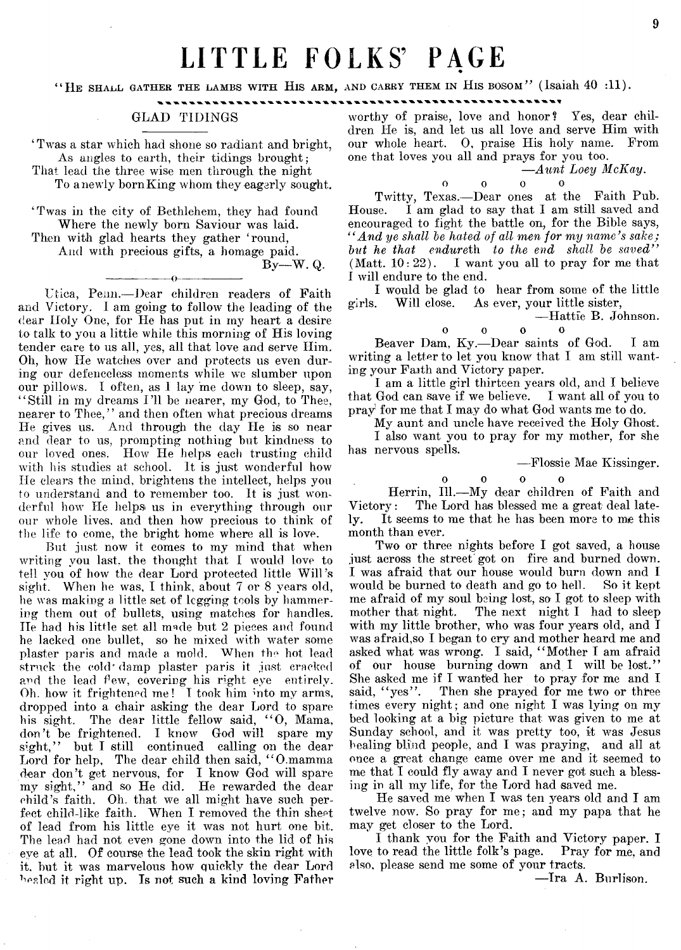## LITTLE FOLKS' PAGE

"HE SHALL GATHER THE LAMBS WITH HIS ARM, AND CARRY THEM IN HIS BOSOM" (Isaiah 40 :11).

### GLAD TIDINGS

' Twas a star which had shone so radiant and bright, As angles to earth, their tidings brought; That lead the three wise men through the night

To a newly born King whom they eagerly sought.

'Twas in the city of Bethlehem, they had found Where the newly born Saviour was laid. Then with glad hearts they gather 'round, And with precious gifts, a homage paid.

---------------- o-----------------

 $Bv-W$ . Q.

Utica, Penn.— Dear children readers of Faith and Victory. I am going to follow the leading of the clear Holy One, for He has put in my heart a desire to talk to you a little while this morning of His loving tender care to us all, yes, all that love and serve Him. Oh, how He watches over and protects us even during our defenceless moments while we slumber upon our pillows. I often, as 1 lay me down to sleep, say, " Still in my dreams I 'll be nearer, my God, to Thee, nearer to Thee," and then often what precious dreams He gives us. And through the day He is so near and dear to us, prompting nothing but kindness to our loved ones. How He helps each trusting child with his studies at school. It is just wonderful how He clears the mind, brightens the intellect, helps you to understand and to remember too. It is just wonderful how He helps us in everything through our our whole lives, and then how precious to think of the life to come, the bright home where all is love.

But just now it comes to my mind that when writing you last, the thought that I would love to tell you of how the dear Lord protected little Will's sight. When he was, I think, about 7 or 8 years old, he was making a little set of legging tools by hammering them out of bullets, using matches for handles. He had his little set all made but 2 pieces and found he lacked one bullet, so he mixed with water some plaster paris and made a mold. When the hot lead struck the cold'damp plaster paris it just cracked and the lead few, covering his right eye entirely. Oh. how it frightened me! I took him into my arms, dropped into a chair asking the dear Lord to spare his sight. The dear little fellow said, "O, Mama, don't be frightened. I know God will spare my sight," but I still continued calling on the dear Lord for help, The dear child then said, "O.mamma dear don't get nervous, for I know God will spare my sight," and so He did. He rewarded the dear child's faith. Oh. that we all might have such perfect child-like faith. When I removed the thin sheet of lead from his little eye it was not hurt one bit. The lead had not even gone down into the lid of his eye at all. Of course the lead took the skin right with it. but it was marvelous how quickly the dear Lord beaded it right up. Is not such a kind loving Father

worthy of praise, love and honor? Yes, dear children He is, and let us all love and serve Him with our whole heart. 0, praise His holy name. From one that loves you all and prays for you too.

*—Aunt Loey McKay*.

 $\mathbf{0}$   $\mathbf{0}$   $\mathbf{0}$  $\overline{0}$ Twitty, Texas.— Dear ones at the Faith Pub. House. I am glad to say that I am still saved and encouraged to fight the battle on, for the Bible says, *" And ye shall be hated of all men for my name's sake; but he that endureth to the end shall be saved"* (Matt.  $10:22$ ). I want you all to pray for me that

I will endure to the end. I would be glad to hear from some of the little girls. Will close. As ever, your little sister,

— Hattie B. Johnson,  $\mathbf{o}$ 

 $\begin{array}{ccc} 0 & 0 & 0 \end{array}$ Beaver Dam, Ky.— Dear saints of God. I am writing a letter to let you know that  $I$  am still wanting your Faith and Victory paper.

I am a little girl thirteen years old, and I believe that God can save if we believe. I want all of you to pray for me that I may do what God wants me to do.

My aunt and uncle have received the Holy Ghost.

I also want you to pray for my mother, for she has nervous spells.

— Flossie Mae Kissinger,

 $\mathbf{o}$ 

 $\mathbf{o}$   $\mathbf{o}$   $\mathbf{o}$ 

Herrin, 111.—My dear children of Faith and Victory: The Lord has blessed me a great deal lately. It seems to me that he has been more to me this month than ever.

Two or three nights before I got saved, a house just across the street got on fire and burned down. I was afraid that our house would burn down and I would be burned to death and go to hell. So it kept me afraid of my soul being lost, so I got to sleep with mother that night. The next night I had to sleep with my little brother, who was four years old, and I was afraid,so I began to cry and mother heard me and asked what was wrong. I said, " Mother I am afraid of our house burning down and I will be lost." She asked me if I wanted her to pray for me and I said, "yes". Then she prayed for me two or three Then she prayed for me two or three times every night; and one night I was lying on my bed looking at a big picture that was given to me at Sunday school, and it was pretty too, it was Jesus healing blind people, and I was praying, and all at once a great change came over me and it seemed to me that I could fly away and I never got such a blessing in all my life, for the Lord had saved me.

He saved me when I was ten years old and I am twelve now. So pray for me; and my papa that he may get closer to the Lord.

I thank you for the Faith and Victory paper. I love to read the little folk's page. Pray for me, and elso, please send me some of your tracts.

— Ira A. Burlison.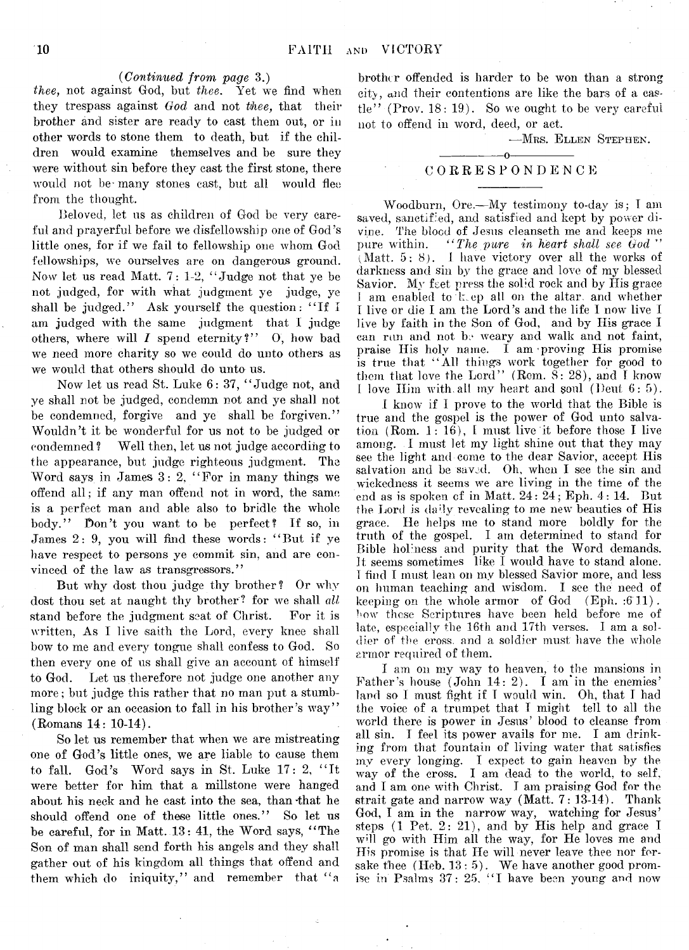#### *(Continued from page* 3.)

*thee,* not against God, but *thee*. Yet we find when they trespass against *God* and not *thee,* that their brother and sister are ready to cast them out, or in other words to stone them to death, but if the children would examine themselves and be sure they were without sin before they cast the first stone, there would not be many stones cast, but all would flee from the thought.

Beloved, let us as children of God be very careful and prayerful before we disfellowship one of God's little ones, for if we fail to fellowship one whom God fellowships, we ourselves are on dangerous ground. Now let us read Matt. 7: 1-2, " Judge not that ye be not judged, for with what judgment ye judge, ye shall be judged." Ask yourself the question: "If I am judged with the same judgment that I judge others, where will *I* spend eternity?" O, how bad we need more charity so we could do unto others as we would that others should do unto us.

Now let us read St. Luke 6: 37, " Judge not, and ye shall not be judged, condemn not and ye shall not be condemned, forgive and ye shall be forgiven." Wouldn't it be wonderful for us not to be judged or condemned ? Well then, let us not judge according to the appearance, but judge righteous judgment. The Word says in James 3: 2, " For in many things we offend all; if any man offend not in word, the same is a perfect man and able also to bridle the whole body." Don't you want to be perfect? If so, in James 2: 9, you will find these words: " But if ye have respect to persons ve commit sin, and are convinced of the law as transgressors."

But why dost thou judge thy brother? Or why dost thou set at naught thy brother? for we shall *all* stand before the judgment seat of Christ. For it is written, As I live saith the Lord, every knee shall bow to me and every tongue shall confess to God. So then every one of us shall give an account of himself to God. Let us therefore not judge one another any more; but judge this rather that no man put a stumbling block or an occasion to fall in his brother's way" (Romans 14: 10-14).

So let us remember that when we are mistreating one of God's little ones, we are liable to cause them to fall. God's Word says in St. Luke 17: 2, " It were better for him that a millstone were hanged about his neck and he cast into the sea, than that he should offend one of these little ones." So let us be careful, for in Matt. 13: 41, the Word says, " The Son of man shall send forth his angels and they shall gather out of his kingdom all things that offend and them which do iniquity," and remember that " a brother offended is harder to be won than a strong city, and their contentions are like the bars of a castle" (Prov.  $18:19$ ). So we ought to be very careful not to offend in word, deed, or act.

—Mrs. Ellen Stephen.

#### ---------------- o----------------- C ORRESPONDENCE

Woodburn, Ore.— My testimony to-day is; T am saved, sanctified, and satisfied and kept by power divine. The blood of Jesus cleanseth me and keeps me pure within. *" The pure in heart shall see God* " (Matt. 5:8). I have victory over all the works of darkness and sin by the grace and love of my blessed Savior. My feet press the solid rock and by His grace I am enabled to k. ep all on the altar, and whether I live or die I am the Lord's and the life I now live I live by faith in the Son of God, and by His grace I can run and not be weary and walk and not faint, praise His holy name. I am proving His promise is true that " All things work together for good to them that love the Lord" (Rom.  $\tilde{S}$ : 28), and I know I love Him with, all my heart and soul (I)eut 6: 5).

I know if I prove to the world that the Bible is true and the gospel is the power of God unto salvation (Rom.  $1:16$ ), I must live it before those I live among. I must let my light shine out that they may see the light and come to the dear Savior, accept Ilis salvation and be saved. Oh, when I see the sin and wickedness it seems we are living in the time of the end as is spoken of in Matt.  $24:24$ ; Eph.  $4:14$ . But the Lord is daily revealing to me new beauties of His grace. He helps me to stand more boldly for the truth of the gospel. I am determined to stand for Bible holiness and purity that the Word demands. It seems sometimes like I would have to stand alone. I find I must lean on my blessed Savior more, and less on human teaching and wisdom. I see the need of keeping on the whole armor of God (Eph. :6 11). bow those Scriptures have been held before me of late, especially the 16th and 17th verses. I am a soldier of the cross, and a soldier must have the whole armor required of them.

I am on my way to heaven, to the mansions in Father's house  $(John 14: 2)$ . I am'in the enemies' land so I must fight if I would win. Oh, that I had the voice of a trumpet that I might tell to all the world there is power in Jesus' blood to cleanse from all sin. I feel its power avails for me. I am drinking from that fountain of living water that satisfies my every longing. I expect to gain heaven by the way of the cross. I am dead to the world, to self, and I am one with Christ. I am praising God for the strait gate and narrow way (Matt. 7: 13-14). Thank God, I am in the narrow way, watching for Jesus' steps (1 Pet. 2: 21), and by His help and grace I will go with Him all the way, for He loves me and His promise is that He will never leave thee nor forsake thee  $(Heb. 13:5)$ . We have another good promise in Psalms 37: 25, "I have been young and now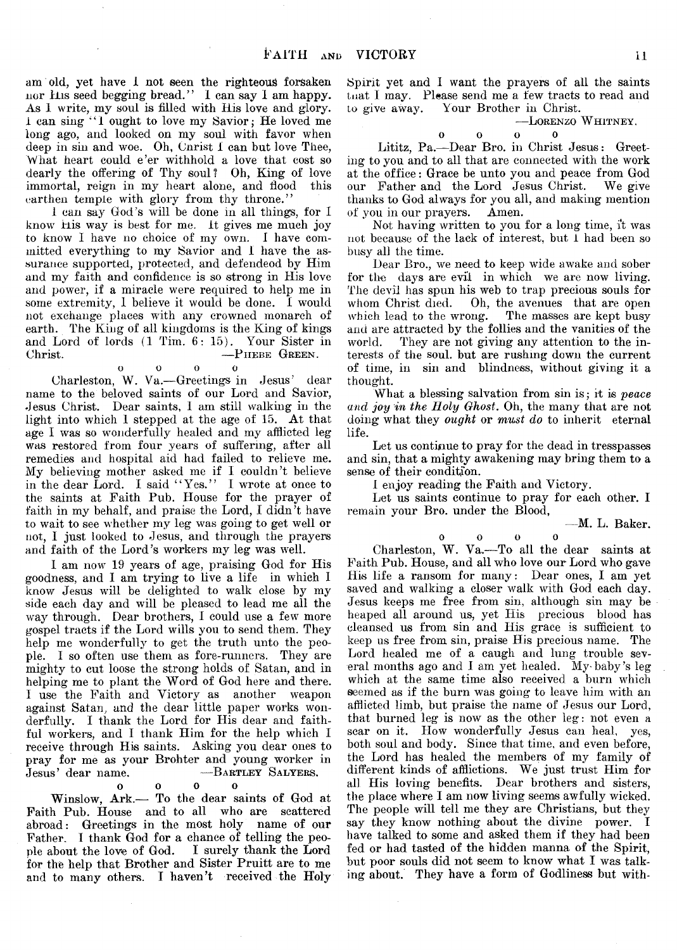am old, yet have 1 not seen the righteous forsaken nor His seed begging bread." I can say I am happy. As 1 write, my soul is filled with His love and glory. 1 can sing ' ' I ought to love my Savior*;* He loved me long ago, and looked on my soul with favor when deep in sin and woe. Oh, Cnrist 1 can but love Thee, What heart could e'er withhold a love that cost so dearly the offering of Thy soul ? Oh, King of love immortal, reign in my heart alone, and flood this earthen temple with glory from thy throne."

1 can say God's will be done in all things, for I know His way is best for me. it gives me much joy to know I have no choice of my own. I have committed everything to my Savior and I have the assurance supported, protected, and defendeod by Him and my faith and confidence is so strong in His love and power, if a miracle were required to help me in some extremity, 1 believe it would be done. I would not exchange places with any crowned monarch of earth. The King of all kingdoms is the King of kings and Lord of lords (1 Tim. 6: 15). Your Sister in Christ. — PHEBE GREEN.

0 0 0 0 Charleston, W. Va.— Greetings in Jesus' dear name to the beloved saints of our Lord and Savior, Jesus Christ. Dear saints, I am still walking in the light into which 1 stepped at the age of 15. At that age I was so wonderfully healed and my afflicted leg was restored from four years of suffering, after all remedies and hospital aid had failed to relieve me. My believing mother asked me if I couldn't believe in the dear Lord. I said "Yes." I wrote at once to the saints at Faith Pub. House for the prayer of faith in my behalf, and praise the Lord, I didn't have to wait to see whether my leg was going to get well or not, I just looked to Jesus, and through the prayers and faith of the Lord's workers my leg was well.

1 am now 19 years of age, praising God for His goodness, and I am. trying to live a life in which I know Jesus will be delighted to walk close by my side each day and will be pleased to lead me all the way through. Dear brothers, I could use a few more gospel tracts if the Lord wills you to send them. They help me wonderfully to get the truth unto the people. I so often use them as fore-runners. They are mighty to cut loose the strong holds of Satan, and in helping me to plant the Word of God here and there. I use the Faith and Victory as another weapon against Satan, and the dear little paper works wonderfully. I thank the Lord for His dear and faithful workers, and I thank Him for the help which I receive through His saints. Asking you dear ones to pray for me as your Brohter and young worker in Jesus' dear name. - BARTLEY SALYERS.

#### $\begin{array}{ccc} 0 & \hspace{1.5cm} 0 & \hspace{1.5cm} 0 \end{array}$

 $\mathbf{o}$ 

Winslow, Ark.— To the dear saints of God at Faith Pub. House and to all who are scattered abroad: Greetings in the most holy name of our Father. I thank God for a chance of telling the people about the love of God. I surely thank the Lord for the help that Brother and Sister Pruitt are to me and to many others. I haven't received the Holy Spirit yet and I want the prayers of all the saints tnat I may. Please send me a few tracts to read and to give away. Your Brother in Christ.

#### —Lorenzo W hitney.

 $\Omega$ 

#### $\mathbf 0$

Lititz, Pa.— Dear Bro. in Christ Jesus: Greeting to you and to all that are connected with the work at the office: Grace be unto you and peace from God our Father and the Lord Jesus Christ. We give thanks to God always for you all, and making mention of you in our prayers. Amen.

Not having written to you for a long time, it was not because of the lack of interest, but 1 had been so busy all the time.

Dear Bro., we need to keep wide awake and sober for the days are evil in which we are now living. The devil has spun his web to trap precious souls for whom Christ died. Oh, the avenues that are open which lead to the wrong. The masses are kept busy and are attracted by the follies and the vanities of the world. They are not giving any attention to the interests of the soul, but are rushing down the current of time, in sin and blindness, without giving it a thought.

What a blessing salvation from sin is; it is *peace and joy in the Holy Ghost.* Oh, the many that are not doing what they *ought* or *must do* to inherit eternal life.

Let us continue to pray for the dead in tresspasses and sin, that a mighty awakening may bring them to a sense of their condition.

I enjoy reading the Faith and Victory.

Let us saints continue to pray for each other. I remain your Bro. under the Blood,

—M. L. Baker.

 $\begin{array}{ccc} 0 & \hspace{1.5cm} 0 & \hspace{1.5cm} 0 \end{array}$  $\alpha$ Charleston, W. Va.— To all the dear saints at Faith Pub. House, and all who love our Lord who gave His life a ransom for many: Dear ones, I am yet saved and walking a closer walk with God each day. Jesus keeps me free from sin, although sin may be heaped all around us, yet His precious blood has cleansed us from sin and His grace is sufficient to keep us free from sin, praise His precious name. The Lord healed me of a caugh and lung trouble several months ago and I am yet healed. My baby's leg which at the same time also received a burn which seemed as if the burn was going to leave him with an afflicted limb, but praise the name of Jesus our Lord, that burned leg is now as the other leg: not even a scar on it. How wonderfully Jesus can heal, yes, both soul and body. Since that time, and even before, the Lord has healed the members of my family of different kinds of afflictions. We just trust Him for all His loving benefits. Dear brothers and sisters, the place where I am now living seems awfully wicked. The people will tell me they are Christians, but they say they know nothing about the divine power. I have talked to some and asked them if they had been fed or had tasted of the hidden manna of the Spirit, but poor souls did not seem to know what I was talking about. They have a form of Godliness but with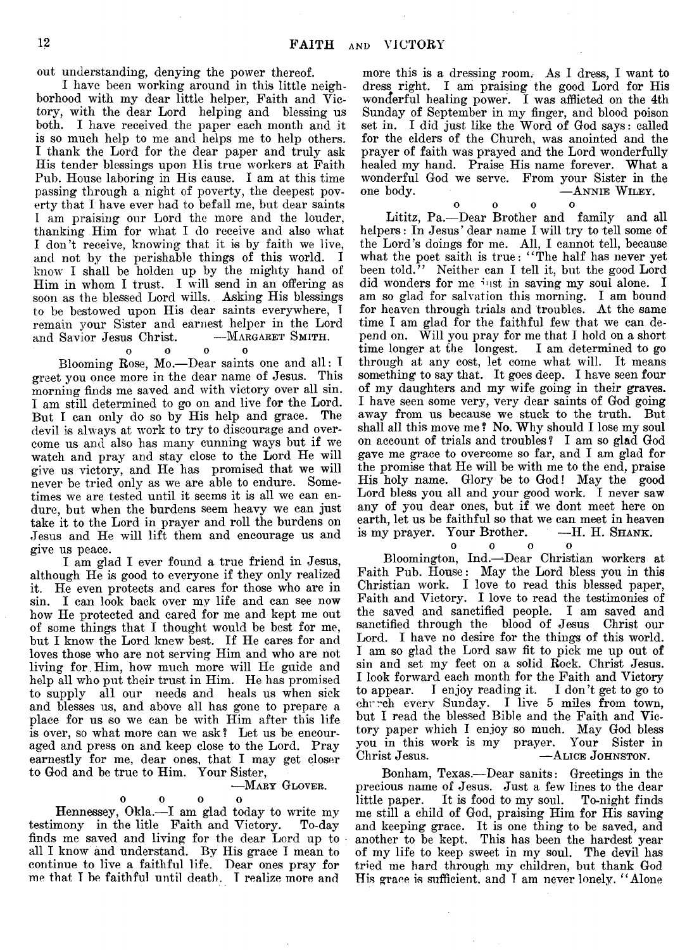out understanding, denying the power thereof.

I have been working around in this little neighborhood with my dear little helper, Faith and Victory, with the dear Lord helping and blessing us both. I have received the paper each month and it is so much help to me and helps me to help others. I thank the Lord for the dear paper and truly ask His tender blessings upon His true workers at Faith Pub. House laboring in His cause. I am at this time passing through a night of poverty, the deepest poverty that I have ever had to befall me, but dear saints I am praising our Lord the more and the louder, thanking Him for what I do receive and also what. I don't receive, knowing that it is by faith we live, and not by the perishable things of this world. I know I shall be holden up by the mighty hand of Him in whom I trust. I will send in an offering as soon as the blessed Lord wills. Asking His blessings to be bestowed upon His dear saints everywhere, T remain your Sister and earnest helper in the Lord and Savior Jesus Christ.

#### o o o o

Blooming Rose, Mo.— Dear saints one and all: I greet you once more in the dear name of Jesus. This morning finds me saved and with victory over all sin. I am still determined to go on and live for the Lord. But I can only do so by His help and grace. The devil is always at work to try to discourage and overcome us and also has many cunning ways but if we watch and pray and stay close to the Lord He will give us victory, and He has promised that we will never be tried only as we are able to endure. Sometimes we are tested until it seems it is all we can endure, but when the burdens seem heavy we can just take it to the Lord in prayer and roll the burdens on Jesus and He will lift them and encourage us and give us peace.

I am glad I ever found a true friend in Jesus, although He is good to everyone if they only realized it. He even protects and cares for those who are in sin. I can look back over my life and can see now how He protected and cared for me and kept me out of some things that I thought would be best for me, but I know the Lord knew best. If He cares for and loves those who are not serving Him and who are not living for. Him, how much more will He guide and help all who put their trust in Him. He has promised to supply all our needs and heals us when sick and blesses us, and above all has gone to prepare a place for us so we can be with Him after this life is over, so what more can we ask? Let us be encouraged and press on and keep close to the Lord. Pray earnestly for me, dear ones, that I may get closer to God and be true to Him. Your Sister,

#### —Mary Glover.

#### oooo

Hennessey, Okla.— I am glad today to write my testimony in the litle Faith and Victory. To-day finds me saved and living for the dear Lord up to all I know and understand. By His grace I mean to continue to live a faithful life. Dear ones pray for me that T he faithful until death. T realize more and

more this is a dressing room. As I dress, I want to dress right. I am praising the good Lord for His wonderful healing power. I was afflicted on the 4th Sunday of September in my finger, and blood poison set in. I did just like the Word of God says: called for the elders of the Church, was anointed and the prayer of faith was prayed and the Lord wonderfully healed my hand. Praise His name forever. What a wonderful God we serve. From your Sister in the one body.  $\overline{\phantom{a}}$  -ANNIE WILEY.  $-$ ANNIE WILEY.

 $0$   $0$   $0$  $\Omega$ Lititz, Pa.— Dear Brother and family and all helpers: In Jesus' dear name I will try to tell some of the Lord's doings for me. All, I cannot tell, because what the poet saith is true: "The half has never yet been told." Neither can I tell it, but the good Lord did wonders for me just in saving my soul alone. I am so glad for salvation this morning. I am bound for heaven through trials and troubles. At the same time I am glad for the faithful few that we can depend on. Will you pray for me that I hold on a short time longer at the longest. I am determined to go through at any cost, let come what will. It means something to say that. It goes deep. I have seen four of my daughters and my wife going in their graves. I have seen some very, very dear saints of God going away from us because we stuck to the truth. But shall all this move me ? No. Why should I lose my soul on account of trials and troubles ? I am so glad God gave me grace to overcome so far, and I am glad for the promise that He will be with me to the end, praise His holy name. Glory be to God! May the good Lord bless you all and your good work. I never saw any of you dear ones, but if we dont meet here on earth, let us be faithful so that we can meet in heaven is my prayer. Your Brother.

oooo Bloomington, Ind.—Dear Christian workers at Faith Pub. House: May the Lord bless you in this Christian work. I love to read this blessed paper, Faith and Victory. I love to read the testimonies of the saved and sanctified people. I am saved and sanctified through the blood of Jesus Christ our Lord. I have no desire for the things of this world. I am so glad the Lord saw fit to pick me up out of sin and set my feet on a solid Rock. Christ Jesus. I look forward each month for the Faith and Victory to appear. I enjoy reading it. I don't get to go to chrreh every Sunday. I live 5 miles from town, but I read the blessed Bible and the Faith and Victory paper which I enjoy so much. May God bless you in this work is my prayer. Your Sister in Christ Jesus. — ALICE JOHNSTON.

Bonham, Texas.— Dear sanits: Greetings in the precious name of Jesus. Just a few lines to the dear little paper. It is food to my soul. To-night finds me still a child of God, praising Him for His saving and keeping grace. It is one thing to be saved, and another to be kept. This has been the hardest year of my life to keep sweet in my soul. The devil has tried me hard through my children, but thank God His grace is sufficient, and I am never lonely. "Alone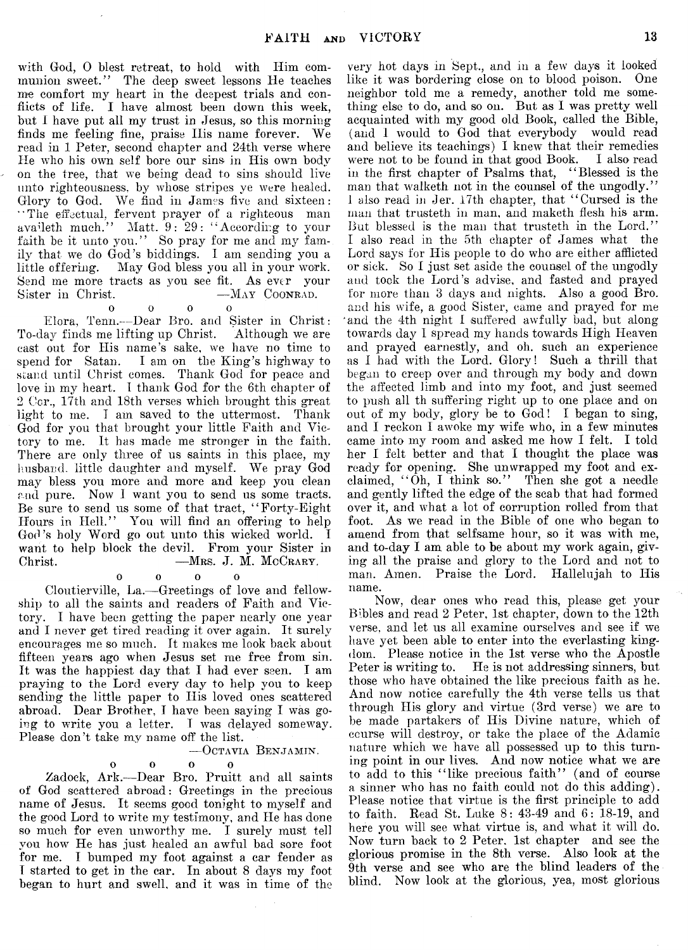with God, 0 blest retreat, to hold with Him communion sweet." The deep sweet lessons He teaches me comfort my heart in the deepest trials and conflicts of life. I have almost been down this week, but I have put all my trust in Jesus, so this morning finds me feeling fine, praise Ilis name forever. We read in 1 Peter, second chapter and 24th verse where He who his own self bore our sins in His own body on the tree, that we being dead to sins should live unto righteousness, by whose stripes ye were healed. Glory to God. We find in James five and sixteen: "The effectual, fervent prayer of a righteous man avafieth much." Matt. 9: 29: " According to your faith be it unto you." So pray for me and my family that we do  $\ddot{G}$  od's biddings. I am sending you a little offering. May God bless you all in your work. May God bless you all in your work. Send me more tracts as you see fit. As ever your<br>Sister in Christ. - MAY COONRAD. -May Coonrad.  $\Omega$ 

 $0$  0 0 Elora, Tenn.—Dear Bro. and Sister in Christ:<br>ay finds me lifting up Christ. Although we are To-day finds me lifting up Christ. cast out for His name's sake, we have no time to spend for Satan. I am on the King's highway to stand until Christ comes. Thank God for peace and love in my heart. I thank God for the 6th chapter of 2 Cor., 17th and 18th verses which brought this great light to me. I am saved to the uttermost. Thank God for you that brought your little Faith and Victory to me. It has made me stronger in the faith. There are only three of us saints in this place, my husband, little daughter and myself. We pray God may bless you more and more and keep you clean and pure. Now 1 want you to send us some tracts. Be sure to send us some of that tract, " Forty-Eight Hours in Hell." You will find an offering to help God's holy Word go out unto this wicked world. I want to help block the devil. From your Sister in Christ.  $-$ MRS. J. M. McCRARY. -Mrs. J. M. McCrary.

#### $0$  0 0

Cloutierville, La.— Greetings of love and fellowship to all the saints and readers of Faith and Victory. I have been getting the paper nearly one year and I never get tired reading it over again. It surely encourages me so much. It makes me look back about fifteen years ago when Jesus set me free from sin. It was the happiest day that I had ever seen. I am praying to the Lord every day to help you to keep sending the little paper to His loved ones scattered abroad. Dear Brother, I have been saying I was going to write you a letter. I was delayed someway. Please don't take my name off the list.

#### — Octavia Benjamin.

 $\Omega$ 

 $\Omega$ 

#### $\begin{array}{ccc} 0 & 0 & 0 \end{array}$

Zadock, Ark.— Dear Bro. Pruitt and all saints of God scattered abroad: Greetings in the precious name of Jesus. It seems good tonight to myself and the good Lord to write my testimony, and He has done so much for even unworthy me. I surely must tell you how He has just healed an awful bad sore foot for me. I bumped my foot against a car fender as I started to get in the ear. In about 8 days my foot began to hurt and swell, and it was in time of the

very hot days in Sept., and in a few days it looked like it was bordering close on to blood poison. neighbor told me a remedy, another told me something else to do, and so on. But as I was pretty well acquainted with my good old Book, called the Bible, (and I would to God that everybody would read and believe its teachings) I knew that their remedies were not to be found in that good Book. I also read were not to be found in that good Book. in the first chapter of Psalms that, " Blessed is the man that walketh not in the counsel of the ungodly." 1 also read in Jer. 17th chapter, that " Cursed is the man that trusteth in man, and maketh flesh his arm. But blessed is the man that trusteth in the Lord." I also read in the 5th chapter of James what the Lord says for His people to do who are either afflicted or sick. So I just set aside the counsel of the ungodly and took the Lord's advise, and fasted and prayed for more than 3 days and nights. Also a good Bro. and his wife, a good Sister, came and prayed for me and the 4th night I suffered awfully bad, but along towards day I spread my hands towards High Heaven and prayed earnestly, and oh. such an experience as I had with the Lord. Glory! Such a thrill that began to creep over and through my body and down the affected limb and into my foot, and just seemed to push all th suffering right up to one place and on out of my body, glory be to God! I began to sing, and I reckon I awoke my wife who, in a few minutes came into my room and asked me how I felt. I told her I felt better and that I thought the place was ready for opening. She unwrapped my foot and exclaimed, " Oh, I think so." Then she got a needle and gently lifted the edge of the scab that had formed over it, and what a lot of corruption rolled from that foot. As we read in the Bible of one who began to amend from that selfsame hour, so it was with me, and to-day I am able to be about my work again, giving all the praise and glory to the Lord and not to man. Amen. Praise the Lord. Hallelujah to His name.

Now, dear ones who read this, please get your Bibles and read 2 Peter, 1st chapter, down to the 12th verse, and let us all examine ourselves and see if we have yet been able to enter into the everlasting kingdom. Please notice in the 1st verse who the Apostle Peter is writing to. He is not addressing sinners, but those who have obtained the like precious faith as he. And now notice carefully the 4th verse tells us that through His glory and virtue (3rd verse) we are to be made partakers of His Divine nature, which of course will destroy, or take the place of the Adamic nature which we have all possessed up to this turning point in our lives. And now notice what we are to add to this "like precious faith" (and of course a sinner who has no faith could not do this adding). Please notice that virtue is the first principle to add to faith. Read St. Luke 8: 43-49 and 6: 18-19, and here you will see what virtue is, and what it will do. Now turn back to 2 Peter. 1st chapter and see the glorious promise in the 8th verse. Also look at the 9th verse and see who are the blind leaders of the blind. Now look at the glorious, yea, most glorious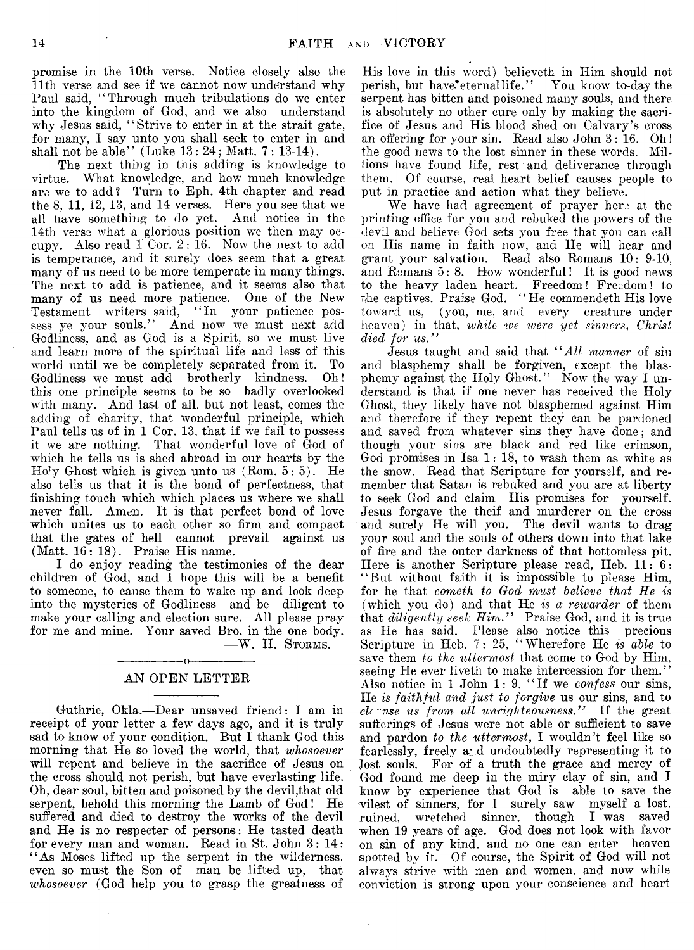promise in the 10th verse. Notice closely also the 11th verse and see if we cannot now understand why Paul said, " Through much tribulations do we enter into the kingdom of God, and we also understand why Jesus said, " Strive to enter in at the strait gate, for many, I say unto you shall seek to enter in and shall not be able" (Luke  $13: 24$ ; Matt.  $7: 13-14$ ).

The next thing in this adding is knowledge to virtue. What knowledge, and how much knowledge are we to add? Turn to Eph. 4th chapter and read the 8, 11, 12, 13, and 14 verses. Here you see that we all have something to do yet. And notice in the 14th verse what a glorious position we then may occupy. Also read 1 Cor. 2: 16. Now the next to add is temperance, and it surely does seem that a great many of us need to be more temperate in many things. The next to add is patience, and it seems also that many of us need more patience. One of the New Testament writers said, "In your patience possess ye your souls." And now we must next add Godliness, and as God is a Spirit, so we must live and learn more of the spiritual life and less of this world until we be completely separated from it. To Godliness we must add brotherly kindness. Oh! this one principle seems to be so badly overlooked with many. And last of all, but not least, comes the adding of charity, that wonderful principle, which Paul tells us of in 1 Cor. 13, that if we fail to possess it we are nothing. That wonderful love of God of which he tells us is shed abroad in our hearts by the  $Ho<sup>1</sup>y$  Ghost which is given unto us  $(Rom. 5:5)$ . He also tells us that it is the bond of perfectness, that finishing touch which which places us where we shall never fall. Amen. It is that perfect bond of love which unites us to each other so firm and compact that the gates of hell cannot prevail against us (Matt. 16: 18). Praise His name.

I do enjoy reading the testimonies of the dear children of God, and I hope this will be a benefit to someone, to cause them to wake up and look deep into the mysteries of Godliness and be diligent to make your calling and election sure. All please pray for me and mine. Your saved Bro. in the one body.

— W. H. Storms.

#### ----------------- o----------------- AN OPEN LETTER

Guthrie, Okla.— Dear unsaved friend: I am in receipt of your letter a few days ago, and it is truly sad to know of your condition. But I thank God this morning that He so loved the world, that *whosoever* will repent and believe in the sacrifice of Jesus on the cross should not perish, but have everlasting life. Oh, dear soul, bitten and poisoned by the devil,that old serpent, behold this morning the Lamb of God! He suffered and died to destroy the works of the devil and He is no respecter of persons: He tasted death for every man and woman. Read in St. John 3: 14: "As Moses lifted up the serpent in the wilderness, even so must the Son of man be lifted up, that *whosoever* (God help you to grasp the greatness of

His love in this word) believeth in Him should not perish, but have eternal life." You know to-day the serpent has bitten and poisoned many souls, and there is absolutely no other cure only by making the sacrifice of Jesus and His blood shed on Calvary's cross an offering for your sin. Read also John 3: 16. Oh! the good news to the lost sinner in these words. Millions have found life, rest and deliverance through them. Of course, real heart belief causes people to put in practice and action what they believe.

We have had agreement of prayer here at the printing office for you and rebuked the powers of the devil and believe God sets you free that you can call on His name in faith now, and He will hear and grant your salvation. Read also Romans 10: 9-10, and Remans 5: 8. How wonderful! It is good news to the heavy laden heart. Freedom! Freedom! to the captives. Praise God. "He commendeth His love toward us, (you, me, and every creature under heaven) in that, *while we were yet sinners, Christ died for us."*

Jesus taught and said that *" All manner* of sin and blasphemy shall be forgiven, except the blasphemy against the Holy Ghost." Now the way I understand is that if one never has received the Holy Ghost, they likely have not blasphemed against Him and therefore if they repent they can be pardoned and saved from whatever sins they have done; and though your sins are black and red like crimson, God promises in Isa 1: 18, to wash them as white as the snow. Read that Scripture for yourself, and remember that Satan is rebuked and you are at liberty to seek God and claim His promises for yourself. Jesus forgave the theif and murderer on the cross and surely He will you. The devil wants to drag your soul and the souls of others down into that lake of fire and the outer darkness of that bottomless pit. Here is another Scripture please read, Heb.  $11:6:$ " But without faith it is impossible to please Him, for he that *cometh to God must believe that He is* (which you do) and that Hie *is a rewarder* of them that *diligently seek Him."* Praise God, and it is true as He has said. Please also notice this precious Scripture in Heb. 7: 25, " Wherefore He *is able* to save them *to the uttermost* that come to God by Him, seeing He ever liveth to make intercession for them." Also notice in 1 John 1: 9, " If we *confess* our sins, He *is faithf ul and just to forgive* us our sins, and to *cl( nse us from all unrighteousness."* If the great sufferings of Jesus were not able or sufficient to save and pardon *to the uttermost*, I wouldn 't feel like so fearlessly, freely a: d undoubtedly representing it to lost souls. For of a truth the grace and mercy of God found me deep in the miry clay of sin, and I know by experience that God is able to save the vilest of sinners, for I surely saw myself a lost, ruined, wretched sinner, though I was saved when 19 years of age. God does not look with favor on sin of any kind, and no one can enter heaven spotted by it. Of course, the Spirit of God will not always strive with men and women, and now while conviction is strong upon your conscience and heart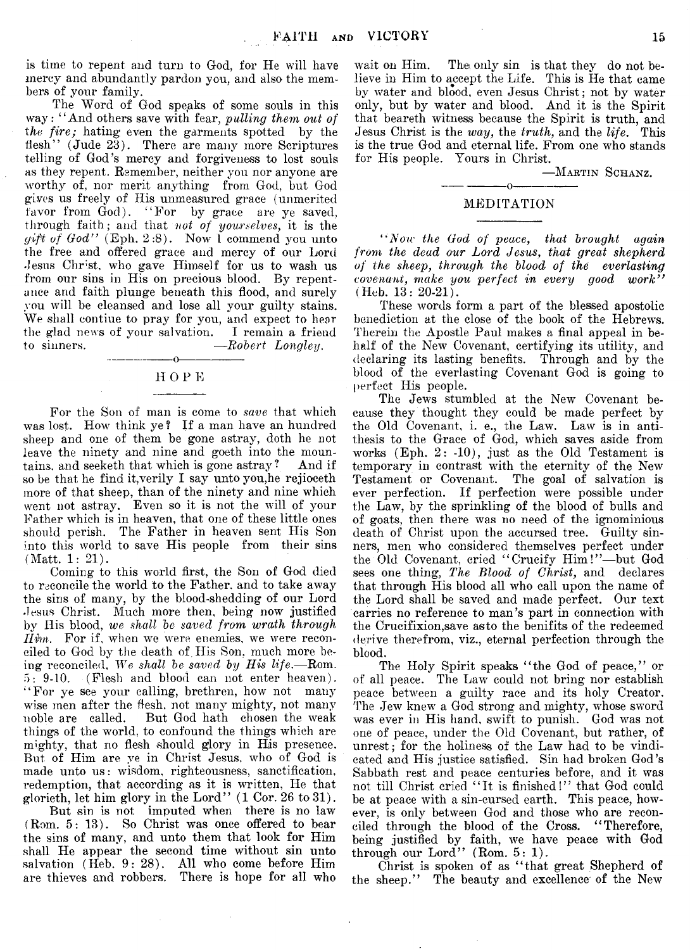is time to repent and turn to God, for He will have mercy and abundantly pardon you, and also the members of your family.

The Word of God speaks of some souls in this way: "And others save with fear, *pulling them out of the fire;* hating even the garments spotted by the flesh" (Jude 23). There are many more Scriptures telling of God's mercy and forgiveness to lost souls as they repent. Remember, neither you nor anyone are worthy of, nor merit anything from God, but God gives us freely of His unmeasured grace (unmerited favor from God). "For by grace are ye saved, through faith; and that *not of yourselves,* it is the *gift of God*" (Eph. 2:8). Now 1 commend you unto the free and offered grace and mercy of our Lord Jesus Christ, who gave Himself for us to wash us from our sins in His on precious blood. By repentance and faith plunge beneath this flood, and surely you will be cleansed and lose all your guilty stains. We shall contiue to pray for you, and expect to hear the glad news of your salvation. I remain a friend<br>to sinners.  $\frac{-Robert\;Longleu}{-Robert\;Longleu}$ .  $-Robert$  Longley.

#### ---------------- o ---------------- H 0 F E

For the Son of man is come to *save* that which was lost. How think ye? If a man have an hundred sheep and one of them be gone astray, doth he not leave the ninety and nine and goeth into the mountains, and seeketh that which is gone astray ? And if so be that he find it, verily  $\bf{I}$  say unto you, he rejioceth more of that sheep, than of the ninety and nine which went not astray. Even so it is not the will of your Father which is in heaven, that one of these little ones should perish. The Father in heaven sent His Son into this world to save His people from their sins (Matt. 1: 21).

Coming to this world first, the Son of God died to reconcile the world to the Father, and to take away the sins of many, by the blood-shedding of our Lord Jesus Christ. Much more then, being now justified by His blood, *we shall be saved from wrath through Him.* For if, when we were enemies, we were reconciled to God by the death of His Son, much more being reconciled. *We shall be saved by His life.*— Rom. 5: 9-10. (Flesh and blood can not enter heaven). "For ye see your calling, brethren, how not many wise men after the flesh, not many mighty, not many noble are called. But God hath chosen the weak things of the world, to confound the things which are mighty, that no flesh should glory in His presence. But of Him are ye in Christ Jesus, who of God is made unto us: wisdom, righteousness, sanctification, redemption, that according as it is written, He that glorieth, let him glory in the Lord" (1 Cor. 26 to 31).

But sin is not imputed when there is no law (Rom. 5: 13). So Christ was once offered to bear the sins of many, and unto them that look for Him shall He appear the second time without sin unto salvation (Heb. 9: 28). All who come before Him are thieves and robbers. There is hope for all who

wait on Him. The only sin is that they do not believe in Him to accept the Life. This is He that came by water and blood, even Jesus Christ; not by water only, but by water and blood. And it is the Spirit that beareth witness because the Spirit is truth, and Jesus Christ is the *way,* the *truth,* and the *life*. This is the true God and eternal life. From one who stands for His people. Yours in Christ.

#### —Martin Schanz.

#### $-----0$   $-------0$ MEDITATION

" Aoir *the God of peace, that brought again from the dead our Lord Jesus*, *that great shepherd of the sheep, through the blood of the everlasting covenant, make you perfect in every good work"* (Heb. 13: 20-21).

These words form a part of the blessed apostolic benediction at the close of the book of the Hebrews. Therein the Apostle Paul makes a final appeal in behalf of the New Covenant, certifying its utility, and declaring its lasting benefits. Through and by the blood of the everlasting Covenant God is going to perfect His people.

The Jews stumbled at the New Covenant because they thought they could be made perfect by the Old Covenant, i. e., the Law. Law is in antithesis to the Grace of God, which saves aside from works (Eph. 2: -10), just as the Old Testament is temporary in contrast with the eternity of the New Testament or Covenant. The goal of salvation is ever perfection. If perfection were possible under the Law, by the sprinkling of the blood of bulls and of goats, then there was no need of the ignominious death of Christ upon the accursed tree. Guilty sinners, men who considered themselves perfect under the Old Covenant, cried "Crucify Him!"-but God sees one thing, *The Blood of Christ,* and declares that through His blood all who call upon the name of the Lord shall be saved and made perfect. Our text carries no reference to man's part in connection with the Crucifixion,save asto the benifits of the redeemed derive therefrom, viz., eternal perfection through the blood.

The Holy Spirit speaks "the God of peace," or of all peace. The Law could not bring nor establish peace between a guilty race and its holy Creator. The Jew knew a God strong and mighty, whose sword was ever in His hand, swift to punish. God was not one of peace, under the Old Covenant, but rather, of unrest; for the holiness of the Law had to be vindicated and His justice satisfied. Sin had broken God's Sabbath rest and peace centuries before, and it was not till Christ cried "It is finished!" that God could be at peace with a sin-cursed earth. This peace, however, is only between God and those who are reconciled through the blood of the Cross. " Therefore, being justified by faith, we have peace with God through our Lord" (Rom. 5: 1).

Christ is spoken of as " that great Shepherd of the sheep." The beauty and excellence of the New